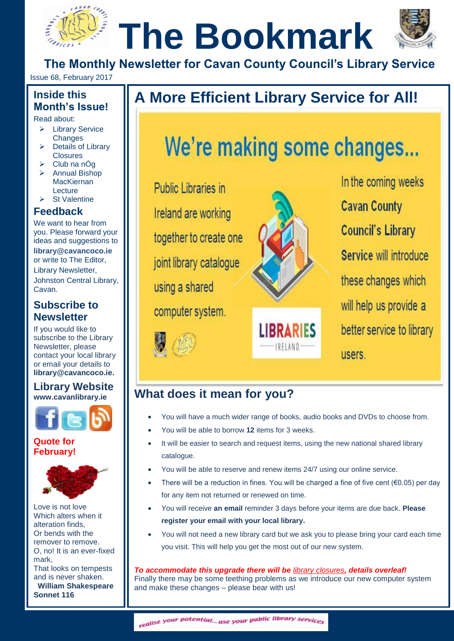# **The Bookmark**



**The Monthly Newsletter for Cavan County Council's Library Service**

Issue 68, February 2017

#### **Inside this Month's Issue!**

Read about:

- Library Service **Changes** Changes 3, 2011
	- $\triangleright$  Details of Library **Closures**
	- $\triangleright$  Club na nÓg
	- **EXANNUAL Bishop** MacKiernan Lecture
	- $\triangleright$  St Valentine

#### **Feedback**

We want to hear from you. Please forward your ideas and suggestions to **[library@cavancoco.ie](mailto:info@cavanlibrary.ie?subject=Newsletter%20ideas%20&%20Feedback)** or write to The Editor, Library Newsletter, Johnston Central Library, Cavan.

#### **Subscribe to Newsletter**

If you would like to subscribe to the Library Newsletter, please contact your local library or email your details to **[library@cavancoco.ie.](mailto:library@cavancoco.ie)**

#### **Library Website [www.cavanlibrary.ie](http://www.cavanlibrary.ie/)**



**Quote for February!**



Love is not love Which alters when it alteration finds, Or bends with the remover to remove. O, no! It is an ever-fixed mark, That looks on tempests and is never shaken. **William Shakespeare Sonnet 116**

## **The Month's Issue!**<br>
Read about:<br>
A More Efficient Library Service for All!<br>
A More Efficient Library Service for All!

### We're making some changes...

**Public Libraries in** Ireland are working together to create one joint library catalogue using a shared computer system.





In the coming weeks **Cavan County Council's Library** Service will introduce these changes which will help us provide a better service to library users.

#### **What does it mean for you?**

- You will have a much wider range of books, audio books and DVDs to choose from.
- You will be able to borrow **12** items for 3 weeks.
- It will be easier to search and request items, using the new national shared library catalogue.
- You will be able to reserve and renew items 24/7 using our online service.
- There will be a reduction in fines. You will be charged a fine of five cent ( $\epsilon$ 0.05) per day for any item not returned or renewed on time.
- You will receive **an email** reminder 3 days before your items are due back. **Please register your email with your local library.**
- You will not need a new library card but we ask you to please bring your card each time you visit. This will help you get the most out of our new system.

#### *To accommodate this upgrade there will be [library closures](http://www.cavanlibrary.ie/Default.aspx?StructureID_str=99&guid=303), details overleaf!*

Finally there may be some teething problems as we introduce our new computer system and make these changes – please bear with us!